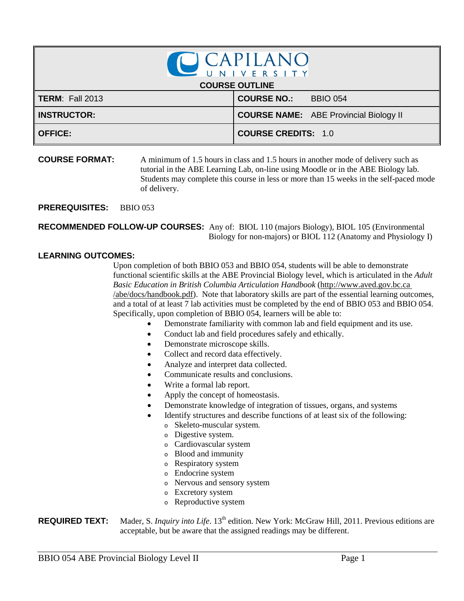| CCAPILANO              |                                               |  |  |  |
|------------------------|-----------------------------------------------|--|--|--|
| <b>COURSE OUTLINE</b>  |                                               |  |  |  |
| <b>TERM: Fall 2013</b> | <b>COURSE NO.:</b><br><b>BBIO 054</b>         |  |  |  |
| <b>INSTRUCTOR:</b>     | <b>COURSE NAME:</b> ABE Provincial Biology II |  |  |  |
| <b>OFFICE:</b>         | <b>COURSE CREDITS: 1.0</b>                    |  |  |  |

**COURSE FORMAT:** A minimum of 1.5 hours in class and 1.5 hours in another mode of delivery such as tutorial in the ABE Learning Lab, on-line using Moodle or in the ABE Biology lab. Students may complete this course in less or more than 15 weeks in the self-paced mode of delivery.

**PREREQUISITES:** BBIO 053

**RECOMMENDED FOLLOW-UP COURSES:** Any of: BIOL 110 (majors Biology), BIOL 105 (Environmental Biology for non-majors) or BIOL 112 (Anatomy and Physiology I)

## **LEARNING OUTCOMES:**

Upon completion of both BBIO 053 and BBIO 054, students will be able to demonstrate functional scientific skills at the ABE Provincial Biology level, which is articulated in the *Adult Basic Education in British Columbia Articulation Handbook* (http://www.aved.gov.bc.ca /abe/docs/handbook.pdf). Note that laboratory skills are part of the essential learning outcomes, and a total of at least 7 lab activities must be completed by the end of BBIO 053 and BBIO 054. Specifically, upon completion of BBIO 054, learners will be able to:

- Demonstrate familiarity with common lab and field equipment and its use.
- Conduct lab and field procedures safely and ethically.
- Demonstrate microscope skills.
- Collect and record data effectively.
- Analyze and interpret data collected.
- Communicate results and conclusions.
- Write a formal lab report.
- Apply the concept of homeostasis.
- Demonstrate knowledge of integration of tissues, organs, and systems
- Identify structures and describe functions of at least six of the following:
	- <sup>o</sup> Skeleto-muscular system.
	- <sup>o</sup> Digestive system.
	- <sup>o</sup> Cardiovascular system
	- <sup>o</sup> Blood and immunity
	- <sup>o</sup> Respiratory system
	- <sup>o</sup> Endocrine system
	- <sup>o</sup> Nervous and sensory system
	- <sup>o</sup> Excretory system
	- <sup>o</sup> Reproductive system

**REQUIRED TEXT:** Mader, S. *Inquiry into Life*. 13<sup>th</sup> edition. New York: McGraw Hill, 2011. Previous editions are acceptable, but be aware that the assigned readings may be different.